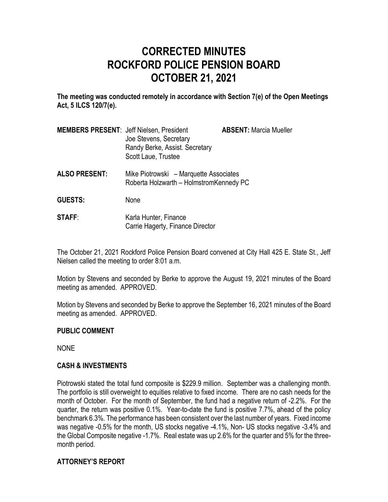# **CORRECTED MINUTES ROCKFORD POLICE PENSION BOARD OCTOBER 21, 2021**

**The meeting was conducted remotely in accordance with Section 7(e) of the Open Meetings Act, 5 ILCS 120/7(e).**

| <b>MEMBERS PRESENT: Jeff Nielsen, President</b> | Joe Stevens, Secretary<br>Randy Berke, Assist. Secretary<br>Scott Laue, Trustee | <b>ABSENT: Marcia Mueller</b> |
|-------------------------------------------------|---------------------------------------------------------------------------------|-------------------------------|
|                                                 |                                                                                 |                               |

- **ALSO PRESENT:** Mike Piotrowski Marquette Associates Roberta Holzwarth – HolmstromKennedy PC
- **GUESTS:** None
- **STAFF:** Karla Hunter, Finance Carrie Hagerty, Finance Director

The October 21, 2021 Rockford Police Pension Board convened at City Hall 425 E. State St., Jeff Nielsen called the meeting to order 8:01 a.m.

Motion by Stevens and seconded by Berke to approve the August 19, 2021 minutes of the Board meeting as amended. APPROVED.

Motion by Stevens and seconded by Berke to approve the September 16, 2021 minutes of the Board meeting as amended. APPROVED.

## **PUBLIC COMMENT**

NONE

## **CASH & INVESTMENTS**

Piotrowski stated the total fund composite is \$229.9 million. September was a challenging month. The portfolio is still overweight to equities relative to fixed income. There are no cash needs for the month of October. For the month of September, the fund had a negative return of -2.2%. For the quarter, the return was positive 0.1%. Year-to-date the fund is positive 7.7%, ahead of the policy benchmark 6.3%. The performance has been consistent over the last number of years. Fixed income was negative -0.5% for the month, US stocks negative -4.1%, Non- US stocks negative -3.4% and the Global Composite negative -1.7%. Real estate was up 2.6% for the quarter and 5% for the threemonth period.

## **ATTORNEY'S REPORT**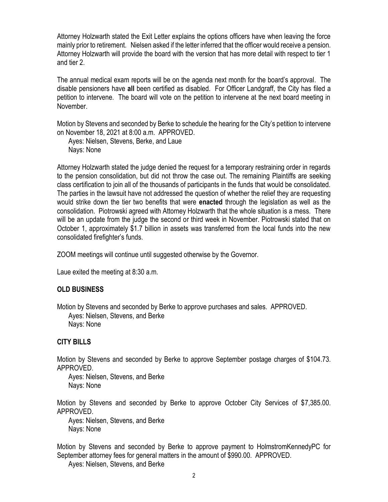Attorney Holzwarth stated the Exit Letter explains the options officers have when leaving the force mainly prior to retirement. Nielsen asked if the letter inferred that the officer would receive a pension. Attorney Holzwarth will provide the board with the version that has more detail with respect to tier 1 and tier 2.

The annual medical exam reports will be on the agenda next month for the board's approval. The disable pensioners have **all** been certified as disabled. For Officer Landgraff, the City has filed a petition to intervene. The board will vote on the petition to intervene at the next board meeting in November.

Motion by Stevens and seconded by Berke to schedule the hearing for the City's petition to intervene on November 18, 2021 at 8:00 a.m. APPROVED.

Ayes: Nielsen, Stevens, Berke, and Laue Nays: None

Attorney Holzwarth stated the judge denied the request for a temporary restraining order in regards to the pension consolidation, but did not throw the case out. The remaining Plaintiffs are seeking class certification to join all of the thousands of participants in the funds that would be consolidated. The parties in the lawsuit have not addressed the question of whether the relief they are requesting would strike down the tier two benefits that were **enacted** through the legislation as well as the consolidation. Piotrowski agreed with Attorney Holzwarth that the whole situation is a mess. There will be an update from the judge the second or third week in November. Piotrowski stated that on October 1, approximately \$1.7 billion in assets was transferred from the local funds into the new consolidated firefighter's funds.

ZOOM meetings will continue until suggested otherwise by the Governor.

Laue exited the meeting at 8:30 a.m.

## **OLD BUSINESS**

Motion by Stevens and seconded by Berke to approve purchases and sales. APPROVED. Ayes: Nielsen, Stevens, and Berke Nays: None

### **CITY BILLS**

Motion by Stevens and seconded by Berke to approve September postage charges of \$104.73. APPROVED.

Ayes: Nielsen, Stevens, and Berke Nays: None

Motion by Stevens and seconded by Berke to approve October City Services of \$7,385.00. APPROVED.

Ayes: Nielsen, Stevens, and Berke Nays: None

Motion by Stevens and seconded by Berke to approve payment to HolmstromKennedyPC for September attorney fees for general matters in the amount of \$990.00. APPROVED.

Ayes: Nielsen, Stevens, and Berke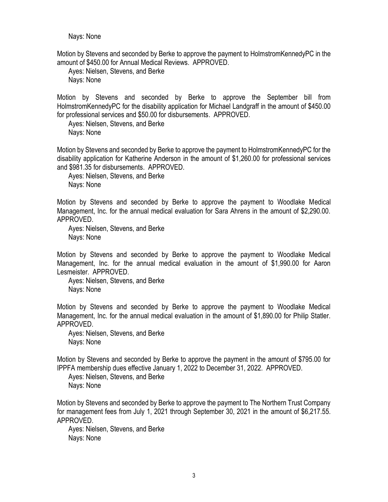Nays: None

Motion by Stevens and seconded by Berke to approve the payment to HolmstromKennedyPC in the amount of \$450.00 for Annual Medical Reviews. APPROVED.

Ayes: Nielsen, Stevens, and Berke Nays: None

Motion by Stevens and seconded by Berke to approve the September bill from HolmstromKennedyPC for the disability application for Michael Landgraff in the amount of \$450.00 for professional services and \$50.00 for disbursements. APPROVED.

Ayes: Nielsen, Stevens, and Berke Nays: None

Motion by Stevens and seconded by Berke to approve the payment to HolmstromKennedyPC for the disability application for Katherine Anderson in the amount of \$1,260.00 for professional services and \$981.35 for disbursements. APPROVED.

Ayes: Nielsen, Stevens, and Berke Nays: None

Motion by Stevens and seconded by Berke to approve the payment to Woodlake Medical Management, Inc. for the annual medical evaluation for Sara Ahrens in the amount of \$2,290.00. APPROVED.

Ayes: Nielsen, Stevens, and Berke Nays: None

Motion by Stevens and seconded by Berke to approve the payment to Woodlake Medical Management, Inc. for the annual medical evaluation in the amount of \$1,990.00 for Aaron Lesmeister. APPROVED.

Ayes: Nielsen, Stevens, and Berke Nays: None

Motion by Stevens and seconded by Berke to approve the payment to Woodlake Medical Management, Inc. for the annual medical evaluation in the amount of \$1,890.00 for Philip Statler. APPROVED.

Ayes: Nielsen, Stevens, and Berke Nays: None

Motion by Stevens and seconded by Berke to approve the payment in the amount of \$795.00 for IPPFA membership dues effective January 1, 2022 to December 31, 2022. APPROVED.

Ayes: Nielsen, Stevens, and Berke Nays: None

Motion by Stevens and seconded by Berke to approve the payment to The Northern Trust Company for management fees from July 1, 2021 through September 30, 2021 in the amount of \$6,217.55. APPROVED.

Ayes: Nielsen, Stevens, and Berke Nays: None